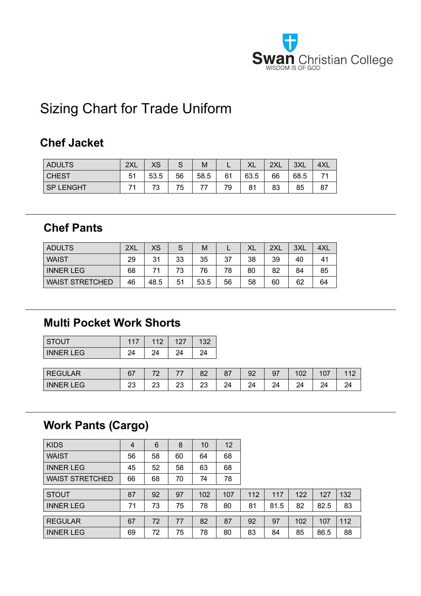

# Sizing Chart for Trade Uniform

#### **Chef Jacket**

| <b>ADULTS</b>    | 2XL            | vc<br>∧ט |    | M    | . . | vı<br>∧∟ | 2XL | 3XL  | 4XL |
|------------------|----------------|----------|----|------|-----|----------|-----|------|-----|
| <b>CHEST</b>     | 5 <sup>1</sup> | 53.5     | 56 | 58.5 | 61  | 63.5     | 66  | 68.5 |     |
| <b>SP LENGHT</b> |                |          | 75 |      | 79  | 81       | 83  | 85   | 87  |

#### **Chef Pants**

| <b>ADULTS</b>          | 2XL | <b>XS</b> |    | м    |    | XL | 2XL | 3XL | 4XL |
|------------------------|-----|-----------|----|------|----|----|-----|-----|-----|
| <b>WAIST</b>           | 29  | 31        | 33 | 35   | 37 | 38 | 39  | 40  | 41  |
| <b>INNER LEG</b>       | 68  | 74        | 72 | 76   | 78 | 80 | 82  | 84  | 85  |
| <b>WAIST STRETCHED</b> | 46  | 48.5      | 51 | 53.5 | 56 | 58 | 60  | 62  | 64  |

#### **Multi Pocket Work Shorts**

| <b>STOUT</b>     | 117 | 112 | 127 | 132 |
|------------------|-----|-----|-----|-----|
| <b>INNER LEG</b> | 24  | 24  | 24  | 24  |

| <b>REGULAR</b>       | 67<br>υ1 | $\overline{\phantom{a}}$ | --       | $\circ$<br>oΖ | o i | 92      | 97                  | 100<br>∪∠ | 107 | 110 |
|----------------------|----------|--------------------------|----------|---------------|-----|---------|---------------------|-----------|-----|-----|
| <b>INNER L</b><br>EG | nn.<br>∼ | nc<br>∠J                 | ∩י<br>∠J | nc<br>∠∪      | 24  | 24<br>⊷ | 2 <sub>A</sub><br>⊷ | 24        | 24  | 24  |

### **Work Pants (Cargo)**

| <b>KIDS</b>            | 4  | 6  | 8  | 10  | 12  |     |      |     |      |     |
|------------------------|----|----|----|-----|-----|-----|------|-----|------|-----|
| <b>WAIST</b>           | 56 | 58 | 60 | 64  | 68  |     |      |     |      |     |
| <b>INNER LEG</b>       | 45 | 52 | 58 | 63  | 68  |     |      |     |      |     |
| <b>WAIST STRETCHED</b> | 66 | 68 | 70 | 74  | 78  |     |      |     |      |     |
| <b>STOUT</b>           | 87 | 92 | 97 | 102 | 107 | 112 | 117  | 122 | 127  | 132 |
| <b>INNER LEG</b>       | 71 | 73 | 75 | 78  | 80  | 81  | 81.5 | 82  | 82.5 | 83  |
| <b>REGULAR</b>         | 67 | 72 | 77 | 82  | 87  | 92  | 97   | 102 | 107  | 112 |
|                        |    |    |    |     |     |     |      |     |      |     |
| <b>INNER LEG</b>       | 69 | 72 | 75 | 78  | 80  | 83  | 84   | 85  | 86.5 | 88  |